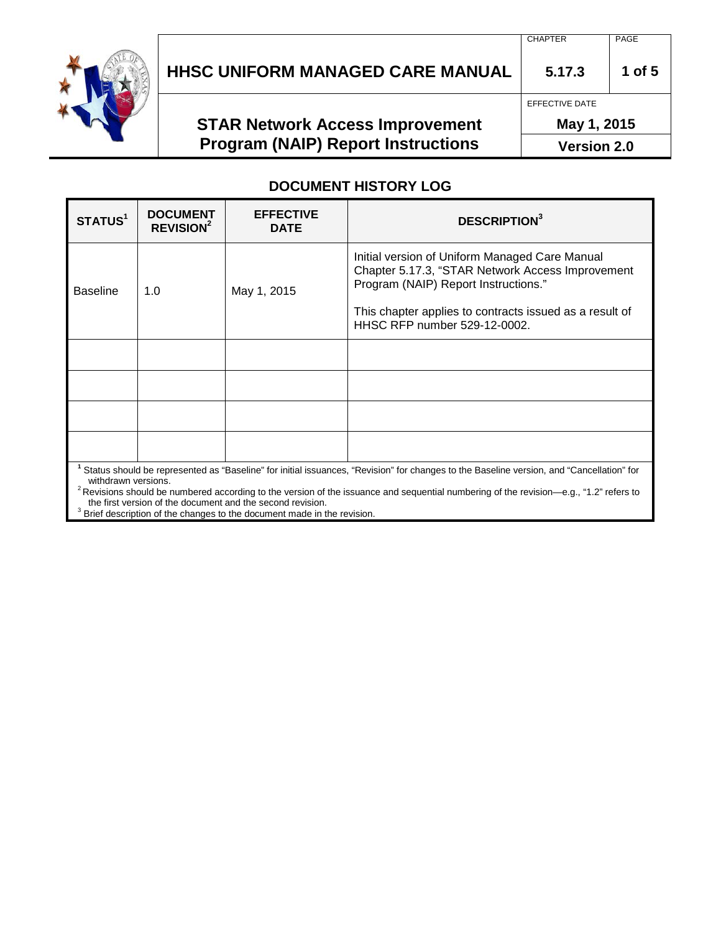

# **HHSC UNIFORM MANAGED CARE MANUAL 5.17.3 1 of 5**

## **STAR Network Access Improvement Program (NAIP) Report Instructions**

CHAPTER PAGE

EFFECTIVE DATE

**May 1, 2015**

**Version 2.0**

#### **DOCUMENT HISTORY LOG**

| STATUS <sup>1</sup>                                                                                                                                            | <b>DOCUMENT</b><br><b>REVISION<sup>2</sup></b> | <b>EFFECTIVE</b><br><b>DATE</b> | <b>DESCRIPTION3</b>                                                                                                                                                                                                                   |  |  |
|----------------------------------------------------------------------------------------------------------------------------------------------------------------|------------------------------------------------|---------------------------------|---------------------------------------------------------------------------------------------------------------------------------------------------------------------------------------------------------------------------------------|--|--|
| <b>Baseline</b>                                                                                                                                                | 1.0                                            | May 1, 2015                     | Initial version of Uniform Managed Care Manual<br>Chapter 5.17.3, "STAR Network Access Improvement<br>Program (NAIP) Report Instructions."<br>This chapter applies to contracts issued as a result of<br>HHSC RFP number 529-12-0002. |  |  |
|                                                                                                                                                                |                                                |                                 |                                                                                                                                                                                                                                       |  |  |
|                                                                                                                                                                |                                                |                                 |                                                                                                                                                                                                                                       |  |  |
|                                                                                                                                                                |                                                |                                 |                                                                                                                                                                                                                                       |  |  |
|                                                                                                                                                                |                                                |                                 |                                                                                                                                                                                                                                       |  |  |
| Status should be represented as "Baseline" for initial issuances, "Revision" for changes to the Baseline version, and "Cancellation" for<br>withdrawn versions |                                                |                                 |                                                                                                                                                                                                                                       |  |  |

<sup>2</sup> Revisions should be numbered according to the version of the issuance and sequential numbering of the revision—e.g., "1.2" refers to the first version of the document and the second revision.

<sup>3</sup> Brief description of the changes to the document made in the revision.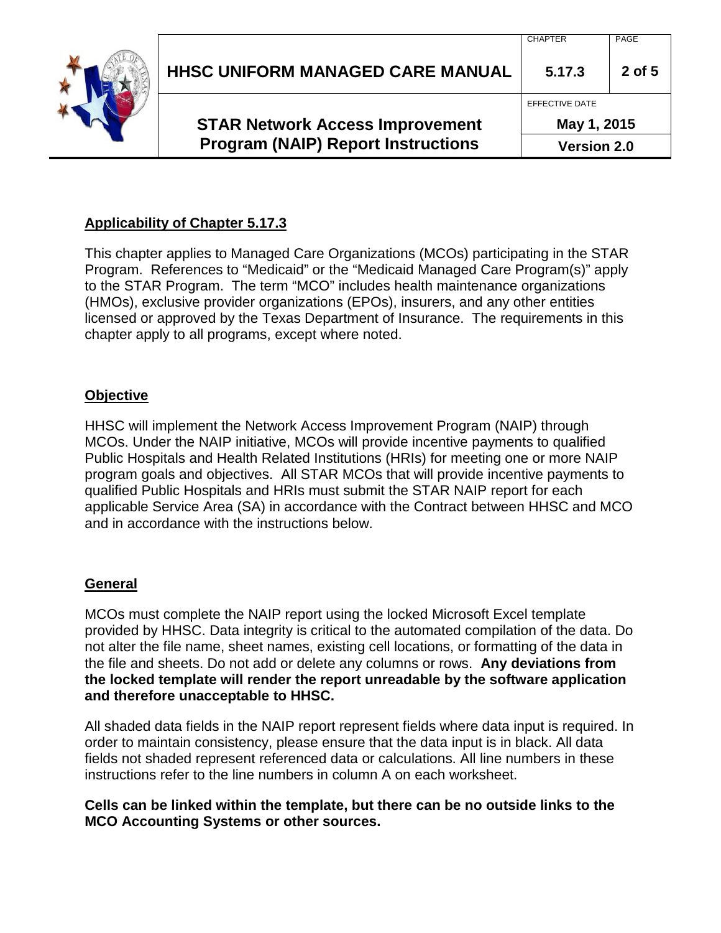| <b>Program (NAIP) Report Instructions</b> | <b>Version 2.0</b> |        |
|-------------------------------------------|--------------------|--------|
| <b>STAR Network Access Improvement</b>    | May 1, 2015        |        |
|                                           | EFFECTIVE DATE     |        |
| <b>HHSC UNIFORM MANAGED CARE MANUAL</b>   | 5.17.3             | 2 of 5 |
|                                           | CHAPTER            | PAGE   |

### **Applicability of Chapter 5.17.3**

This chapter applies to Managed Care Organizations (MCOs) participating in the STAR Program. References to "Medicaid" or the "Medicaid Managed Care Program(s)" apply to the STAR Program. The term "MCO" includes health maintenance organizations (HMOs), exclusive provider organizations (EPOs), insurers, and any other entities licensed or approved by the Texas Department of Insurance. The requirements in this chapter apply to all programs, except where noted.

#### **Objective**

HHSC will implement the Network Access Improvement Program (NAIP) through MCOs. Under the NAIP initiative, MCOs will provide incentive payments to qualified Public Hospitals and Health Related Institutions (HRIs) for meeting one or more NAIP program goals and objectives. All STAR MCOs that will provide incentive payments to qualified Public Hospitals and HRIs must submit the STAR NAIP report for each applicable Service Area (SA) in accordance with the Contract between HHSC and MCO and in accordance with the instructions below.

#### **General**

MCOs must complete the NAIP report using the locked Microsoft Excel template provided by HHSC. Data integrity is critical to the automated compilation of the data. Do not alter the file name, sheet names, existing cell locations, or formatting of the data in the file and sheets. Do not add or delete any columns or rows. **Any deviations from the locked template will render the report unreadable by the software application and therefore unacceptable to HHSC.**

All shaded data fields in the NAIP report represent fields where data input is required. In order to maintain consistency, please ensure that the data input is in black. All data fields not shaded represent referenced data or calculations. All line numbers in these instructions refer to the line numbers in column A on each worksheet.

**Cells can be linked within the template, but there can be no outside links to the MCO Accounting Systems or other sources.**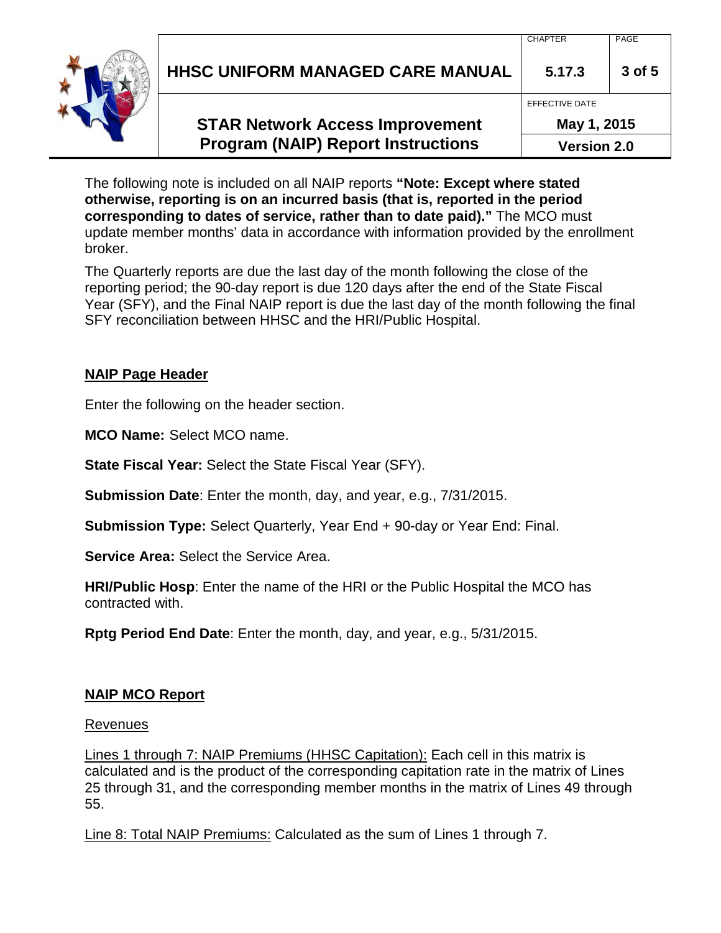| HHSC UNIFORM MANAGED CARE MANUAL<br>5.17.3<br>3 of 5 |
|------------------------------------------------------|
|                                                      |

**Version 2.0**

The following note is included on all NAIP reports **"Note: Except where stated otherwise, reporting is on an incurred basis (that is, reported in the period corresponding to dates of service, rather than to date paid)."** The MCO must update member months' data in accordance with information provided by the enrollment broker.

The Quarterly reports are due the last day of the month following the close of the reporting period; the 90-day report is due 120 days after the end of the State Fiscal Year (SFY), and the Final NAIP report is due the last day of the month following the final SFY reconciliation between HHSC and the HRI/Public Hospital.

### **NAIP Page Header**

Enter the following on the header section.

**MCO Name:** Select MCO name.

**State Fiscal Year:** Select the State Fiscal Year (SFY).

**Submission Date**: Enter the month, day, and year, e.g., 7/31/2015.

**Submission Type:** Select Quarterly, Year End + 90-day or Year End: Final.

**Service Area:** Select the Service Area.

**HRI/Public Hosp**: Enter the name of the HRI or the Public Hospital the MCO has contracted with.

**Rptg Period End Date**: Enter the month, day, and year, e.g., 5/31/2015.

#### **NAIP MCO Report**

#### Revenues

Lines 1 through 7: NAIP Premiums (HHSC Capitation): Each cell in this matrix is calculated and is the product of the corresponding capitation rate in the matrix of Lines 25 through 31, and the corresponding member months in the matrix of Lines 49 through 55.

Line 8: Total NAIP Premiums: Calculated as the sum of Lines 1 through 7.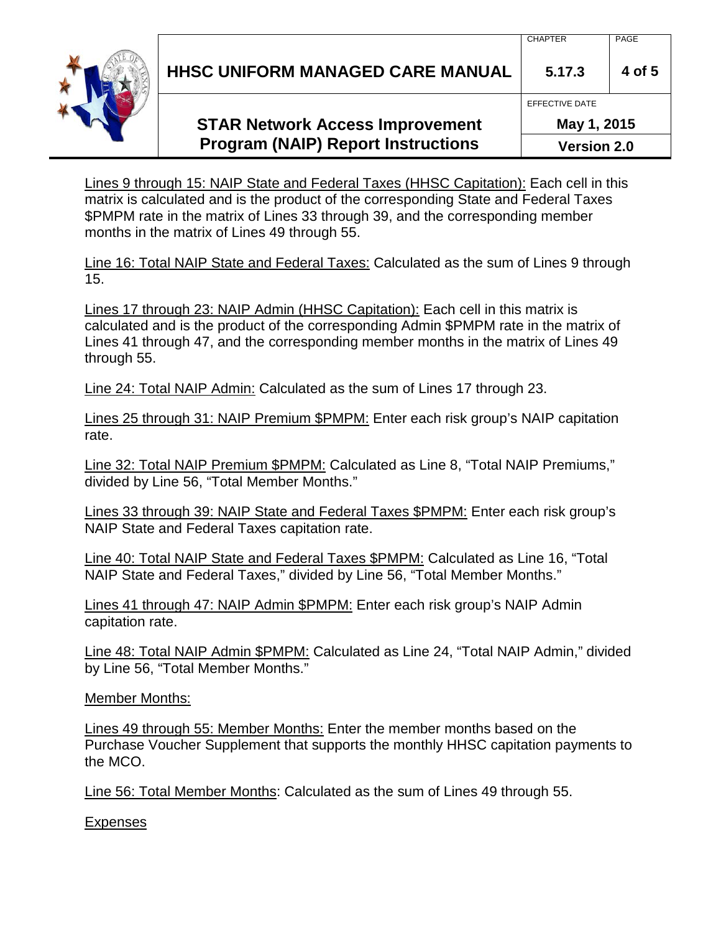**HHSC UNIFORM MANAGED CARE MANUAL 5.17.3 4 of 5**

### **STAR Network Access Improvement Program (NAIP) Report Instructions**

**May 1, 2015**

EFFECTIVE DATE

**Version 2.0**

Lines 9 through 15: NAIP State and Federal Taxes (HHSC Capitation): Each cell in this matrix is calculated and is the product of the corresponding State and Federal Taxes \$PMPM rate in the matrix of Lines 33 through 39, and the corresponding member months in the matrix of Lines 49 through 55.

Line 16: Total NAIP State and Federal Taxes: Calculated as the sum of Lines 9 through 15.

Lines 17 through 23: NAIP Admin (HHSC Capitation): Each cell in this matrix is calculated and is the product of the corresponding Admin \$PMPM rate in the matrix of Lines 41 through 47, and the corresponding member months in the matrix of Lines 49 through 55.

Line 24: Total NAIP Admin: Calculated as the sum of Lines 17 through 23.

Lines 25 through 31: NAIP Premium \$PMPM: Enter each risk group's NAIP capitation rate.

Line 32: Total NAIP Premium \$PMPM: Calculated as Line 8, "Total NAIP Premiums," divided by Line 56, "Total Member Months."

Lines 33 through 39: NAIP State and Federal Taxes \$PMPM: Enter each risk group's NAIP State and Federal Taxes capitation rate.

Line 40: Total NAIP State and Federal Taxes \$PMPM: Calculated as Line 16, "Total NAIP State and Federal Taxes," divided by Line 56, "Total Member Months."

Lines 41 through 47: NAIP Admin \$PMPM: Enter each risk group's NAIP Admin capitation rate.

Line 48: Total NAIP Admin \$PMPM: Calculated as Line 24, "Total NAIP Admin," divided by Line 56, "Total Member Months."

Member Months:

Lines 49 through 55: Member Months: Enter the member months based on the Purchase Voucher Supplement that supports the monthly HHSC capitation payments to the MCO.

Line 56: Total Member Months: Calculated as the sum of Lines 49 through 55.

**Expenses**